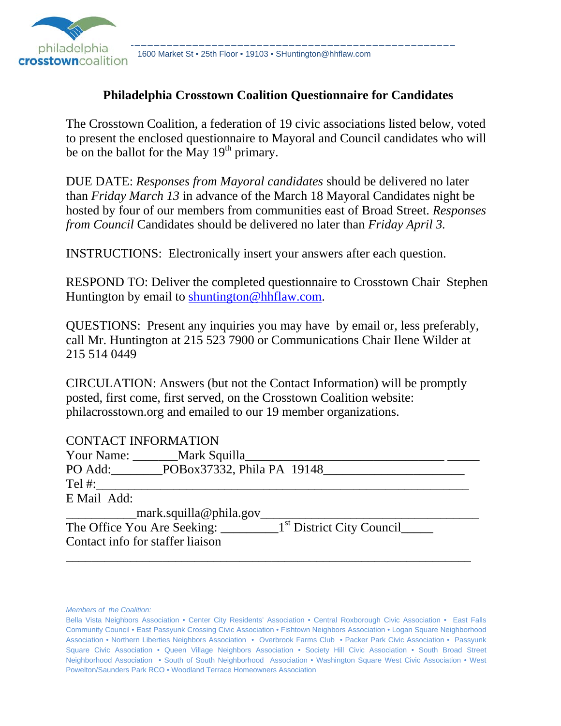

philadelphia 1600 Market St • 25th Floor • 19103 • SHuntington@hhflaw.com<br>Crosstowncoalition 1600 Market St • 25th Floor • 19103 • SHuntington@hhflaw.com

#### **Philadelphia Crosstown Coalition Questionnaire for Candidates**

The Crosstown Coalition, a federation of 19 civic associations listed below, voted to present the enclosed questionnaire to Mayoral and Council candidates who will be on the ballot for the May  $19<sup>th</sup>$  primary.

DUE DATE: *Responses from Mayoral candidates* should be delivered no later than *Friday March 13* in advance of the March 18 Mayoral Candidates night be hosted by four of our members from communities east of Broad Street. *Responses from Council* Candidates should be delivered no later than *Friday April 3.*

INSTRUCTIONS: Electronically insert your answers after each question.

RESPOND TO: Deliver the completed questionnaire to Crosstown Chair Stephen Huntington by email to shuntington@hhflaw.com.

QUESTIONS: Present any inquiries you may have by email or, less preferably, call Mr. Huntington at 215 523 7900 or Communications Chair Ilene Wilder at 215 514 0449

CIRCULATION: Answers (but not the Contact Information) will be promptly posted, first come, first served, on the Crosstown Coalition website: philacrosstown.org and emailed to our 19 member organizations.

| <b>CONTACT INFORMATION</b>         |
|------------------------------------|
| Your Name: _________Mark Squilla_  |
| PO Add: POBox37332, Phila PA 19148 |
| $Tel \#$ :                         |
| E Mail Add:                        |
| _mark.squilla@phila.gov            |
|                                    |
| Contact info for staffer liaison   |
|                                    |

*Members of the Coalition:*

Bella Vista Neighbors Association • Center City Residents' Association • Central Roxborough Civic Association • East Falls Community Council • East Passyunk Crossing Civic Association • Fishtown Neighbors Association • Logan Square Neighborhood Association • Northern Liberties Neighbors Association • Overbrook Farms Club • Packer Park Civic Association • Passyunk Square Civic Association • Queen Village Neighbors Association • Society Hill Civic Association • South Broad Street Neighborhood Association • South of South Neighborhood Association • Washington Square West Civic Association • West Powelton/Saunders Park RCO • Woodland Terrace Homeowners Association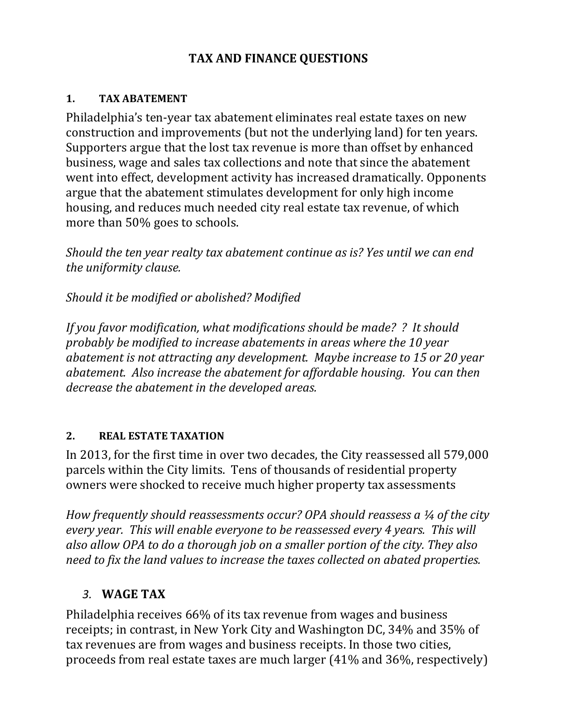### **TAX AND FINANCE QUESTIONS**

#### **1. TAX ABATEMENT**

Philadelphia's ten-year tax abatement eliminates real estate taxes on new construction and improvements (but not the underlying land) for ten years. Supporters argue that the lost tax revenue is more than offset by enhanced business, wage and sales tax collections and note that since the abatement went into effect, development activity has increased dramatically. Opponents argue that the abatement stimulates development for only high income housing, and reduces much needed city real estate tax revenue, of which more than  $50\%$  goes to schools.

*Should the ten year realty tax abatement continue as is? Yes until we can end the uniformity clause.* 

*Should it be modified or abolished? Modified*

*If you favor modification, what modifications should be made? ? It should probably be modified to increase abatements in areas where the 10 year abatement is not attracting any development. Maybe increase to 15 or 20 year abatement. Also increase the abatement for affordable housing. You can then decrease the abatement in the developed areas.*

### **2. REAL ESTATE TAXATION**

In 2013, for the first time in over two decades, the City reassessed all 579,000 parcels within the City limits. Tens of thousands of residential property owners were shocked to receive much higher property tax assessments

*How frequently should reassessments occur? OPA should reassess a ¼ of the city every year. This will enable everyone to be reassessed every 4 years. This will also allow OPA to do a thorough job on a smaller portion of the city. They also need to fix the land values to increase the taxes collected on abated properties.*

## *3.* **WAGE TAX**

Philadelphia receives 66% of its tax revenue from wages and business receipts; in contrast, in New York City and Washington DC, 34% and 35% of tax revenues are from wages and business receipts. In those two cities, proceeds from real estate taxes are much larger (41% and 36%, respectively)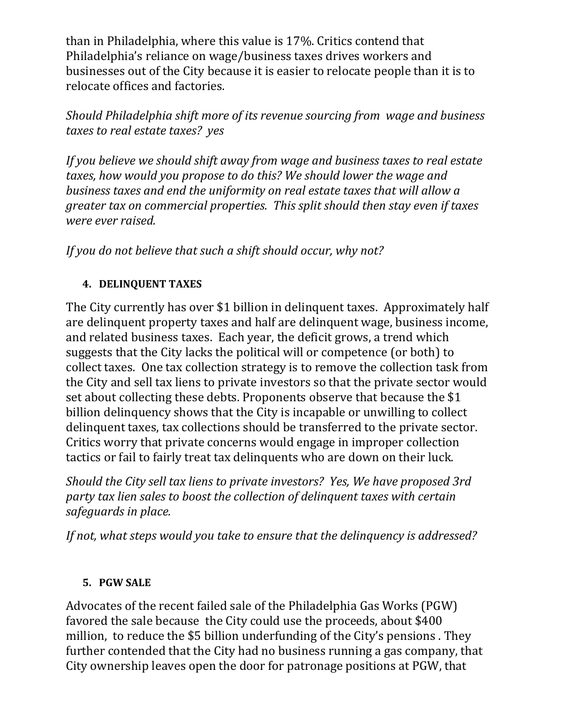than in Philadelphia, where this value is 17%. Critics contend that Philadelphia's reliance on wage/business taxes drives workers and businesses out of the City because it is easier to relocate people than it is to relocate offices and factories.

### *Should Philadelphia shift more of its revenue sourcing from wage and business taxes to real estate taxes? yes*

*If you believe we should shift away from wage and business taxes to real estate taxes, how would you propose to do this? We should lower the wage and business taxes and end the uniformity on real estate taxes that will allow a greater tax on commercial properties. This split should then stay even if taxes were ever raised.* 

# *If you do not believe that such a shift should occur, why not?*

## **4. DELINQUENT TAXES**

The City currently has over \$1 billion in delinquent taxes. Approximately half are delinquent property taxes and half are delinquent wage, business income, and related business taxes. Each year, the deficit grows, a trend which suggests that the City lacks the political will or competence (or both) to collect taxes. One tax collection strategy is to remove the collection task from the City and sell tax liens to private investors so that the private sector would set about collecting these debts. Proponents observe that because the \$1 billion delinquency shows that the City is incapable or unwilling to collect delinquent taxes, tax collections should be transferred to the private sector. Critics worry that private concerns would engage in improper collection tactics or fail to fairly treat tax delinquents who are down on their luck.

*Should the City sell tax liens to private investors? Yes, We have proposed 3rd party tax lien sales to boost the collection of delinquent taxes with certain safeguards in place.*

*If not, what steps would you take to ensure that the delinquency is addressed?*

### **5. PGW SALE**

Advocates of the recent failed sale of the Philadelphia Gas Works (PGW) favored the sale because the City could use the proceeds, about \$400 million, to reduce the \$5 billion underfunding of the City's pensions. They further contended that the City had no business running a gas company, that City ownership leaves open the door for patronage positions at PGW, that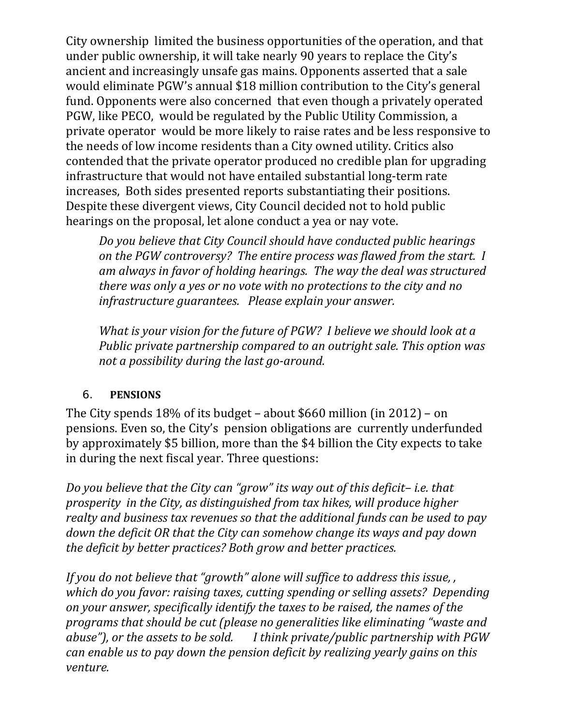City ownership limited the business opportunities of the operation, and that under public ownership, it will take nearly 90 years to replace the City's ancient and increasingly unsafe gas mains. Opponents asserted that a sale would eliminate PGW's annual \$18 million contribution to the City's general fund. Opponents were also concerned that even though a privately operated PGW, like PECO, would be regulated by the Public Utility Commission, a private operator would be more likely to raise rates and be less responsive to the needs of low income residents than a City owned utility. Critics also contended that the private operator produced no credible plan for upgrading infrastructure that would not have entailed substantial long-term rate increases, Both sides presented reports substantiating their positions. Despite these divergent views, City Council decided not to hold public hearings on the proposal, let alone conduct a yea or nay vote.

*Do you believe that City Council should have conducted public hearings on the PGW controversy? The entire process was flawed from the start. I am always in favor of holding hearings. The way the deal was structured there was only a yes or no vote with no protections to the city and no infrastructure guarantees. Please explain your answer.* 

*What is your vision for the future of PGW? I believe we should look at a Public private partnership compared to an outright sale. This option was not a possibility during the last go‐around.* 

### 6. **PENSIONS**

The City spends  $18\%$  of its budget – about \$660 million (in 2012) – on pensions. Even so, the City's pension obligations are currently underfunded by approximately \$5 billion, more than the \$4 billion the City expects to take in during the next fiscal year. Three questions:

*Do you believe that the City can "grow" its way out of this deficit– i.e. that prosperity in the City, as distinguished from tax hikes, will produce higher realty and business tax revenues so that the additional funds can be used to pay down the deficit OR that the City can somehow change its ways and pay down the deficit by better practices? Both grow and better practices.*

*If you do not believe that "growth" alone will suffice to address this issue, , which do you favor: raising taxes, cutting spending or selling assets? Depending on your answer, specifically identify the taxes to be raised, the names of the programs that should be cut (please no generalities like eliminating "waste and abuse"), or the assets to be sold. I think private/public partnership with PGW can enable us to pay down the pension deficit by realizing yearly gains on this venture.*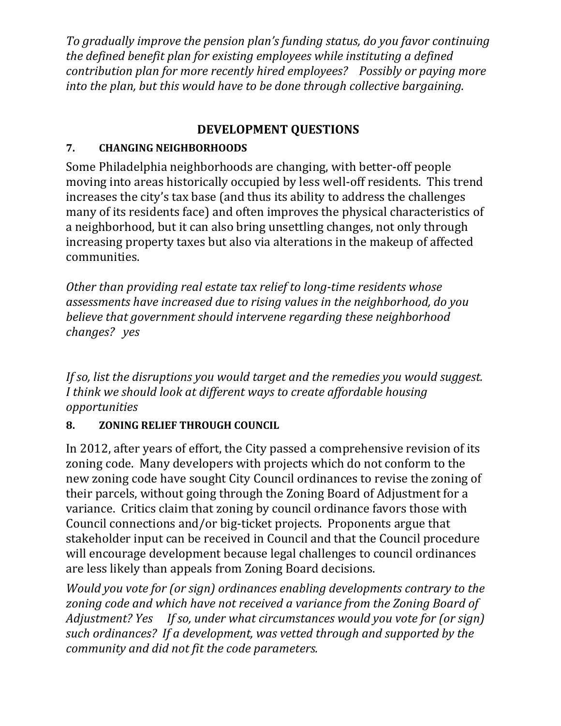*To gradually improve the pension plan's funding status, do you favor continuing the defined benefit plan for existing employees while instituting a defined contribution plan for more recently hired employees? Possibly or paying more into the plan, but this would have to be done through collective bargaining.* 

# **DEVELOPMENT QUESTIONS**

# **7. CHANGING NEIGHBORHOODS**

Some Philadelphia neighborhoods are changing, with better-off people moving into areas historically occupied by less well-off residents. This trend increases the city's tax base (and thus its ability to address the challenges many of its residents face) and often improves the physical characteristics of a neighborhood, but it can also bring unsettling changes, not only through increasing property taxes but also via alterations in the makeup of affected communities. 

*Other than providing real estate tax relief to long‐time residents whose assessments have increased due to rising values in the neighborhood, do you believe that government should intervene regarding these neighborhood changes?* yes

*If so, list the disruptions you would target and the remedies you would suggest. I think we should look at different ways to create affordable housing opportunities*

# **8. ZONING RELIEF THROUGH COUNCIL**

In 2012, after years of effort, the City passed a comprehensive revision of its zoning code. Many developers with projects which do not conform to the new zoning code have sought City Council ordinances to revise the zoning of their parcels, without going through the Zoning Board of Adjustment for a variance. Critics claim that zoning by council ordinance favors those with Council connections and/or big-ticket projects. Proponents argue that stakeholder input can be received in Council and that the Council procedure will encourage development because legal challenges to council ordinances are less likely than appeals from Zoning Board decisions.

*Would you vote for (or sign) ordinances enabling developments contrary to the zoning code and which have not received a variance from the Zoning Board of Adjustment? Yes If so, under what circumstances would you vote for (or sign) such ordinances? If a development, was vetted through and supported by the community and did not fit the code parameters.*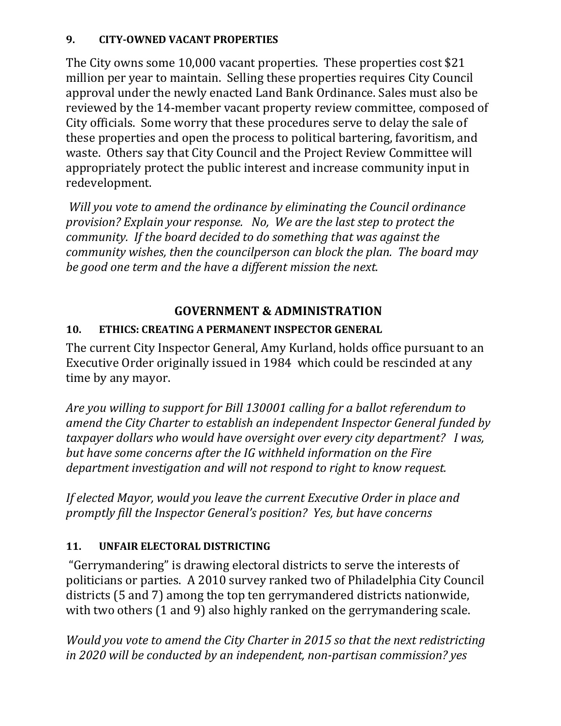### **9. CITY‐OWNED VACANT PROPERTIES**

The City owns some  $10,000$  vacant properties. These properties cost \$21 million per year to maintain. Selling these properties requires City Council approval under the newly enacted Land Bank Ordinance. Sales must also be reviewed by the 14-member vacant property review committee, composed of City officials. Some worry that these procedures serve to delay the sale of these properties and open the process to political bartering, favoritism, and waste. Others say that City Council and the Project Review Committee will appropriately protect the public interest and increase community input in redevelopment. 

*Will you vote to amend the ordinance by eliminating the Council ordinance provision? Explain your response. No, We are the last step to protect the community. If the board decided to do something that was against the community wishes, then the councilperson can block the plan. The board may be good one term and the have a different mission the next.* 

# **GOVERNMENT & ADMINISTRATION**

### **10. ETHICS: CREATING A PERMANENT INSPECTOR GENERAL**

The current City Inspector General, Amy Kurland, holds office pursuant to an Executive Order originally issued in 1984 which could be rescinded at any time by any mayor.

*Are you willing to support for Bill 130001 calling for a ballot referendum to amend the City Charter to establish an independent Inspector General funded by taxpayer dollars who would have oversight over every city department? I was, but have some concerns after the IG withheld information on the Fire department investigation and will not respond to right to know request.* 

*If elected Mayor, would you leave the current Executive Order in place and promptly fill the Inspector General's position? Yes, but have concerns*

## 11. **UNFAIR ELECTORAL DISTRICTING**

"Gerrymandering" is drawing electoral districts to serve the interests of politicians or parties. A 2010 survey ranked two of Philadelphia City Council districts (5 and 7) among the top ten gerrymandered districts nationwide, with two others  $(1 \text{ and } 9)$  also highly ranked on the gerrymandering scale.

*Would you vote to amend the City Charter in 2015 so that the next redistricting in 2020 will be conducted by an independent, non‐partisan commission? yes*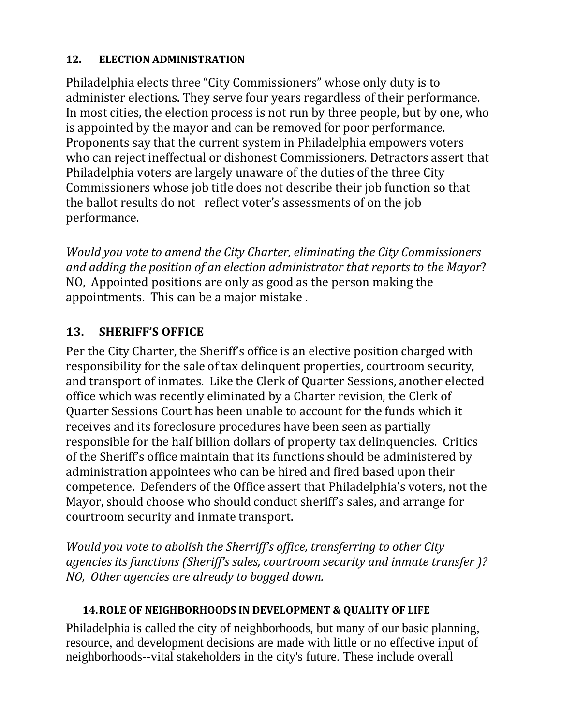#### 12. **ELECTION ADMINISTRATION**

Philadelphia elects three "City Commissioners" whose only duty is to administer elections. They serve four years regardless of their performance. In most cities, the election process is not run by three people, but by one, who is appointed by the mayor and can be removed for poor performance. Proponents say that the current system in Philadelphia empowers voters who can reject ineffectual or dishonest Commissioners. Detractors assert that Philadelphia voters are largely unaware of the duties of the three City Commissioners whose job title does not describe their job function so that the ballot results do not reflect voter's assessments of on the job performance. 

*Would you vote to amend the City Charter, eliminating the City Commissioners and adding the position of an election administrator that reports to the Mayor*? NO, Appointed positions are only as good as the person making the appointments. This can be a major mistake.

# **13.** SHERIFF'S OFFICE

Per the City Charter, the Sheriff's office is an elective position charged with responsibility for the sale of tax delinquent properties, courtroom security, and transport of inmates. Like the Clerk of Quarter Sessions, another elected office which was recently eliminated by a Charter revision, the Clerk of Quarter Sessions Court has been unable to account for the funds which it receives and its foreclosure procedures have been seen as partially responsible for the half billion dollars of property tax delinquencies. Critics of the Sheriff's office maintain that its functions should be administered by administration appointees who can be hired and fired based upon their competence. Defenders of the Office assert that Philadelphia's voters, not the Mayor, should choose who should conduct sheriff's sales, and arrange for courtroom security and inmate transport.

*Would you vote to abolish the Sherriff's office, transferring to other City agencies its functions (Sheriff's sales, courtroom security and inmate transfer )? NO, Other agencies are already to bogged down.* 

### **14.ROLE OF NEIGHBORHOODS IN DEVELOPMENT & QUALITY OF LIFE**

Philadelphia is called the city of neighborhoods, but many of our basic planning, resource, and development decisions are made with little or no effective input of neighborhoods--vital stakeholders in the city's future. These include overall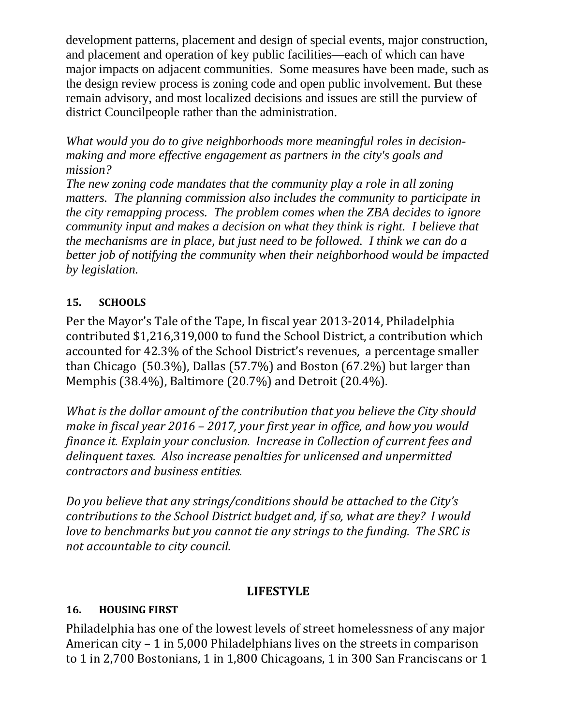development patterns, placement and design of special events, major construction, and placement and operation of key public facilities—each of which can have major impacts on adjacent communities. Some measures have been made, such as the design review process is zoning code and open public involvement. But these remain advisory, and most localized decisions and issues are still the purview of district Councilpeople rather than the administration.

*What would you do to give neighborhoods more meaningful roles in decisionmaking and more effective engagement as partners in the city's goals and mission?* 

*The new zoning code mandates that the community play a role in all zoning matters. The planning commission also includes the community to participate in the city remapping process. The problem comes when the ZBA decides to ignore community input and makes a decision on what they think is right. I believe that the mechanisms are in place, but just need to be followed. I think we can do a better job of notifying the community when their neighborhood would be impacted by legislation.* 

### **15. SCHOOLS**

Per the Mayor's Tale of the Tape, In fiscal year 2013-2014, Philadelphia contributed \$1,216,319,000 to fund the School District, a contribution which accounted for 42.3% of the School District's revenues, a percentage smaller than Chicago  $(50.3\%)$ , Dallas  $(57.7\%)$  and Boston  $(67.2\%)$  but larger than Memphis (38.4%), Baltimore (20.7%) and Detroit (20.4%).

*What is the dollar amount of the contribution that you believe the City should make in fiscal year 2016 – 2017, your first year in office, and how you would finance it. Explain your conclusion. Increase in Collection of current fees and delinquent taxes. Also increase penalties for unlicensed and unpermitted contractors and business entities.* 

*Do you believe that any strings/conditions should be attached to the City's contributions to the School District budget and, if so, what are they? I would love to benchmarks but you cannot tie any strings to the funding. The SRC is not accountable to city council.* 

## **LIFESTYLE**

### **16. HOUSING FIRST**

Philadelphia has one of the lowest levels of street homelessness of any major American city  $-1$  in 5,000 Philadelphians lives on the streets in comparison to 1 in 2,700 Bostonians, 1 in 1,800 Chicagoans, 1 in 300 San Franciscans or 1